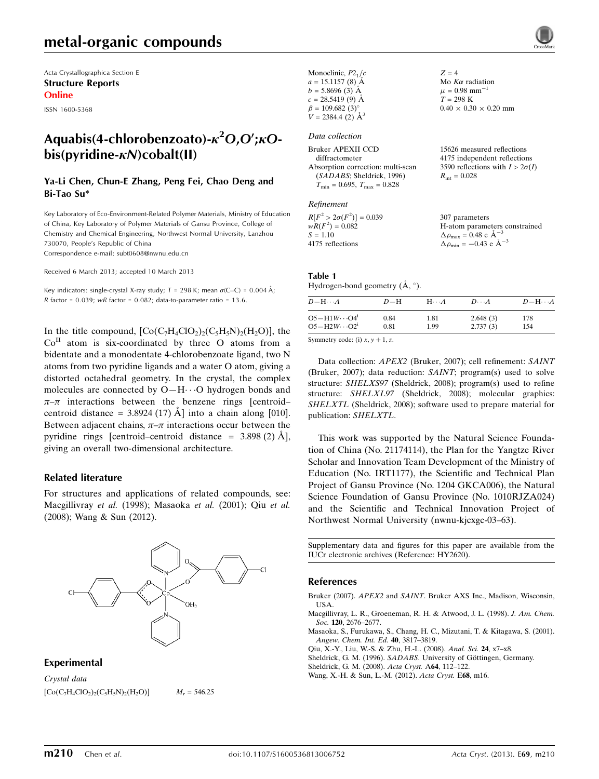# metal-organic compounds

Acta Crystallographica Section E Structure Reports Online

ISSN 1600-5368

# Aquabis(4-chlorobenzoato)- $\kappa^2$ O,O'; $\kappa$ O $bis(vridine-xN) cobalt(II)$

# Ya-Li Chen, Chun-E Zhang, Peng Fei, Chao Deng and Bi-Tao Su\*

Key Laboratory of Eco-Environment-Related Polymer Materials, Ministry of Education of China, Key Laboratory of Polymer Materials of Gansu Province, College of Chemistry and Chemical Engineering, Northwest Normal University, Lanzhou 730070, People's Republic of China

Correspondence e-mail: [subt0608@nwnu.edu.cn](https://scripts.iucr.org/cgi-bin/cr.cgi?rm=pdfbb&cnor=hy2620&bbid=BB7)

Received 6 March 2013; accepted 10 March 2013

Key indicators: single-crystal X-ray study;  $T = 298$  K; mean  $\sigma$ (C–C) = 0.004 Å; R factor =  $0.039$ ; wR factor =  $0.082$ ; data-to-parameter ratio = 13.6.

In the title compound,  $[Co(C<sub>7</sub>H<sub>4</sub>ClO<sub>2</sub>)<sub>2</sub>(C<sub>5</sub>H<sub>5</sub>N)<sub>2</sub>(H<sub>2</sub>O)]$ , the  $Co<sup>H</sup>$  atom is six-coordinated by three O atoms from a bidentate and a monodentate 4-chlorobenzoate ligand, two N atoms from two pyridine ligands and a water O atom, giving a distorted octahedral geometry. In the crystal, the complex molecules are connected by O-H $\cdots$ O hydrogen bonds and  $\pi-\pi$  interactions between the benzene rings [centroid– centroid distance =  $3.8924$  (17) Å ] into a chain along [010]. Between adjacent chains,  $\pi-\pi$  interactions occur between the pyridine rings [centroid–centroid distance =  $3.898(2)$  Å], giving an overall two-dimensional architecture.

## Related literature

For structures and applications of related compounds, see: Macgillivray et al. (1998); Masaoka et al. (2001); Qiu et al. (2008); Wang & Sun (2012).



## Experimental

Crystal data  $[Co(C_7H_4ClO_2)_2(C_5H_5N)_2(H_2O)]$   $M_r = 546.25$ 

| Monoclinic, $P2_1/c$<br>$a = 15.1157$ (8) A<br>$b = 5.8696(3)$ Å<br>$c = 28.5419(9)$ Å<br>$\beta = 109.682(3)$ °<br>$V = 2384.4$ (2) $\AA^3$           | $Z = 4$<br>Mo $K\alpha$ radiation<br>$\mu = 0.98$ mm <sup>-1</sup><br>$T = 298 \text{ K}$<br>$0.40 \times 0.30 \times 0.20$ mm |
|--------------------------------------------------------------------------------------------------------------------------------------------------------|--------------------------------------------------------------------------------------------------------------------------------|
| Data collection                                                                                                                                        |                                                                                                                                |
| Bruker APEXII CCD<br>diffractometer<br>Absorption correction: multi-scan<br>(SADABS; Sheldrick, 1996)<br>$T_{\rm min} = 0.695$ , $T_{\rm max} = 0.828$ | 15626 measured reflections<br>4175 independent reflections<br>3590 reflections with $I > 2\sigma(I)$<br>$R_{\rm int} = 0.028$  |
| Refinement                                                                                                                                             |                                                                                                                                |
| $R[F^2 > 2\sigma(F^2)] = 0.039$                                                                                                                        | 30/ parameters                                                                                                                 |

#### $wR(F^2) = 0.082$  $S = 1.10$ 4175 reflections H-atom parameters constrained  $\Delta \rho_{\text{max}} = 0.48 \text{ e A}^{-3}$  $\Delta \rho_{\rm min} = -0.43 \text{ e } \text{\AA}^{-3}$

#### Table 1

Hydrogen-bond geometry  $(\mathring{A}, \degree)$ .

| $D - H \cdots A$       | $D-H$ | $H\cdots A$ | $D\cdots A$ | $D - H \cdots A$ |
|------------------------|-------|-------------|-------------|------------------|
| $O5 - H1W \cdots O4^i$ | 0.84  | 1.81        | 2.648(3)    | 178              |
| $O5 - H2W \cdots O2^i$ | 0.81  | 1.99        | 2.737(3)    | 154              |

Symmetry code: (i)  $x, y + 1, z$ .

Data collection: APEX2 (Bruker, 2007); cell refinement: SAINT (Bruker, 2007); data reduction: SAINT; program(s) used to solve structure: SHELXS97 (Sheldrick, 2008); program(s) used to refine structure: SHELXL97 (Sheldrick, 2008); molecular graphics: SHELXTL (Sheldrick, 2008); software used to prepare material for publication: SHELXTL.

This work was supported by the Natural Science Foundation of China (No. 21174114), the Plan for the Yangtze River Scholar and Innovation Team Development of the Ministry of Education (No. IRT1177), the Scientific and Technical Plan Project of Gansu Province (No. 1204 GKCA006), the Natural Science Foundation of Gansu Province (No. 1010RJZA024) and the Scientific and Technical Innovation Project of Northwest Normal University (nwnu-kjcxgc-03–63).

Supplementary data and figures for this paper are available from the IUCr electronic archives (Reference: HY2620).

# References

- Bruker (2007). APEX2 and SAINT[. Bruker AXS Inc., Madison, Wisconsin,](https://scripts.iucr.org/cgi-bin/cr.cgi?rm=pdfbb&cnor=hy2620&bbid=BB1) [USA.](https://scripts.iucr.org/cgi-bin/cr.cgi?rm=pdfbb&cnor=hy2620&bbid=BB1)
- [Macgillivray, L. R., Groeneman, R. H. & Atwood, J. L. \(1998\).](https://scripts.iucr.org/cgi-bin/cr.cgi?rm=pdfbb&cnor=hy2620&bbid=BB2) J. Am. Chem. Soc. 120[, 2676–2677.](https://scripts.iucr.org/cgi-bin/cr.cgi?rm=pdfbb&cnor=hy2620&bbid=BB2)

[Masaoka, S., Furukawa, S., Chang, H. C., Mizutani, T. & Kitagawa, S. \(2001\).](https://scripts.iucr.org/cgi-bin/cr.cgi?rm=pdfbb&cnor=hy2620&bbid=BB3) [Angew. Chem. Int. Ed.](https://scripts.iucr.org/cgi-bin/cr.cgi?rm=pdfbb&cnor=hy2620&bbid=BB3) 40, 3817–3819.

- [Qiu, X.-Y., Liu, W.-S. & Zhu, H.-L. \(2008\).](https://scripts.iucr.org/cgi-bin/cr.cgi?rm=pdfbb&cnor=hy2620&bbid=BB4) Anal. Sci. 24, x7–x8.
- Sheldrick, G. M. (1996). SADABS. University of Göttingen, Germany.
- [Sheldrick, G. M. \(2008\).](https://scripts.iucr.org/cgi-bin/cr.cgi?rm=pdfbb&cnor=hy2620&bbid=BB6) Acta Cryst. A64, 112–122.
- [Wang, X.-H. & Sun, L.-M. \(2012\).](https://scripts.iucr.org/cgi-bin/cr.cgi?rm=pdfbb&cnor=hy2620&bbid=BB7) Acta Cryst. E68, m16.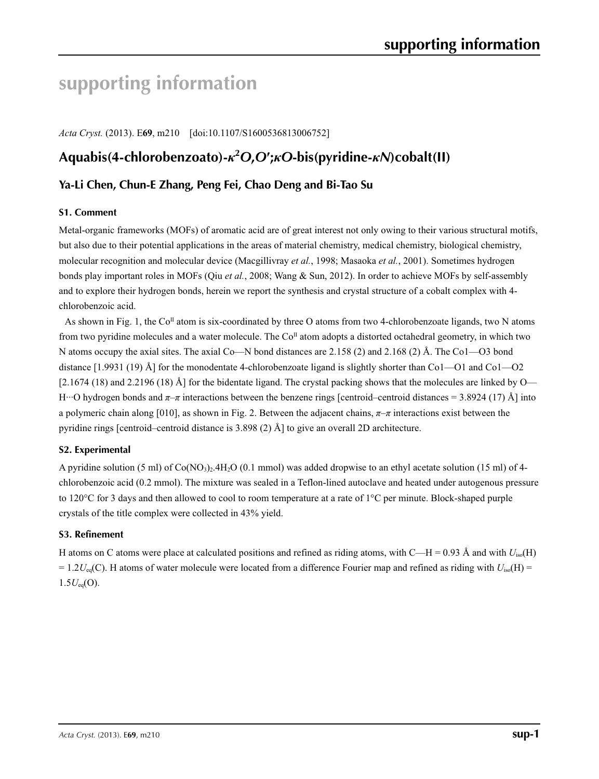# **supporting information**

*Acta Cryst.* (2013). E**69**, m210 [doi:10.1107/S1600536813006752]

# **Aquabis(4-chlorobenzoato)-***κ***<sup>2</sup>** *O***,***O***′;***κO***-bis(pyridine-***κN***)cobalt(II)**

# **Ya-Li Chen, Chun-E Zhang, Peng Fei, Chao Deng and Bi-Tao Su**

# **S1. Comment**

Metal-organic frameworks (MOFs) of aromatic acid are of great interest not only owing to their various structural motifs, but also due to their potential applications in the areas of material chemistry, medical chemistry, biological chemistry, molecular recognition and molecular device (Macgillivray *et al.*, 1998; Masaoka *et al.*, 2001). Sometimes hydrogen bonds play important roles in MOFs (Qiu *et al.*, 2008; Wang & Sun, 2012). In order to achieve MOFs by self-assembly and to explore their hydrogen bonds, herein we report the synthesis and crystal structure of a cobalt complex with 4 chlorobenzoic acid.

As shown in Fig. 1, the  $Co<sup>H</sup>$  atom is six-coordinated by three O atoms from two 4-chlorobenzoate ligands, two N atoms from two pyridine molecules and a water molecule. The  $Co<sup>\Pi</sup>$  atom adopts a distorted octahedral geometry, in which two N atoms occupy the axial sites. The axial Co—N bond distances are 2.158 (2) and 2.168 (2) Å. The Co1—O3 bond distance [1.9931 (19) Å] for the monodentate 4-chlorobenzoate ligand is slightly shorter than Co1—O1 and Co1—O2  $[2.1674 (18)$  and 2.2196 (18) Å] for the bidentate ligand. The crystal packing shows that the molecules are linked by O— H···O hydrogen bonds and *π*–*π* interactions between the benzene rings [centroid–centroid distances = 3.8924 (17) Å] into a polymeric chain along [010], as shown in Fig. 2. Between the adjacent chains, *π*–*π* interactions exist between the pyridine rings [centroid–centroid distance is 3.898 (2) Å] to give an overall 2D architecture.

# **S2. Experimental**

A pyridine solution (5 ml) of Co(NO3)2.4H2O (0.1 mmol) was added dropwise to an ethyl acetate solution (15 ml) of 4 chlorobenzoic acid (0.2 mmol). The mixture was sealed in a Teflon-lined autoclave and heated under autogenous pressure to 120°C for 3 days and then allowed to cool to room temperature at a rate of 1°C per minute. Block-shaped purple crystals of the title complex were collected in 43% yield.

# **S3. Refinement**

H atoms on C atoms were place at calculated positions and refined as riding atoms, with  $C-H = 0.93 \text{ Å}$  and with  $U_{\text{iso}}(H)$  $= 1.2 U_{eq}(C)$ . H atoms of water molecule were located from a difference Fourier map and refined as riding with  $U_{iso}(H)$  =  $1.5U_{eq}(O)$ .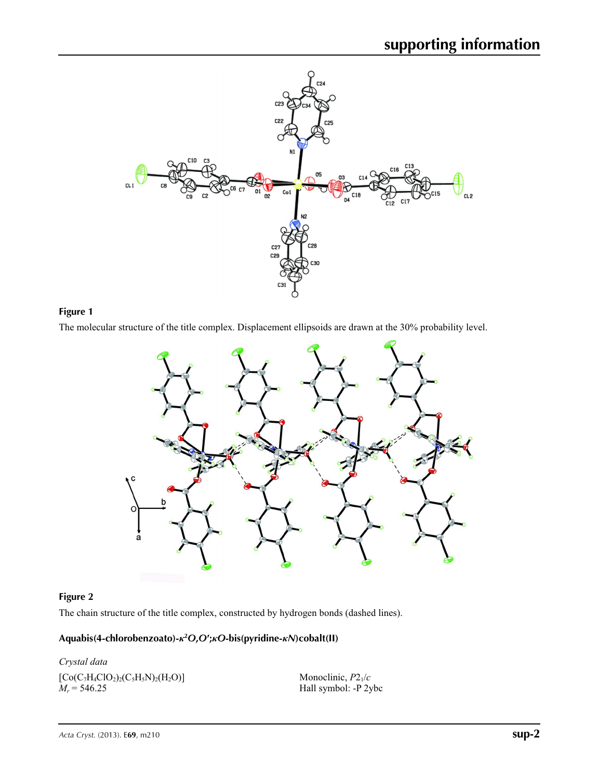

# **Figure 1**

The molecular structure of the title complex. Displacement ellipsoids are drawn at the 30% probability level.



# **Figure 2**

The chain structure of the title complex, constructed by hydrogen bonds (dashed lines).

# **Aquabis(4-chlorobenzoato)-***κ***<sup>2</sup>** *O***,***O***′;***κO***-bis(pyridine-***κN***)cobalt(II)**

*Crystal data*  $[Co(C<sub>7</sub>H<sub>4</sub>ClO<sub>2</sub>)<sub>2</sub>(C<sub>5</sub>H<sub>5</sub>N)<sub>2</sub>(H<sub>2</sub>O)]$  $M_r = 546.25$ 

Monoclinic, *P*21/*c* Hall symbol: -P 2ybc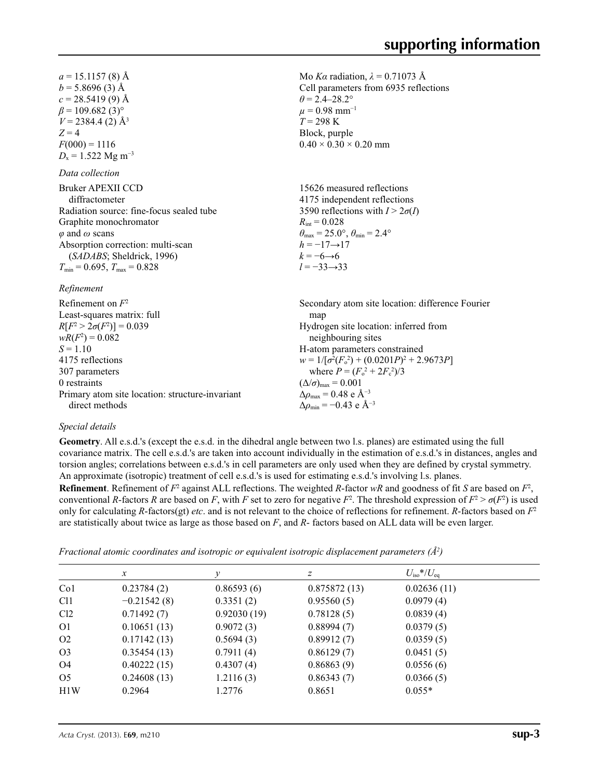Mo *Kα* radiation,  $\lambda = 0.71073$  Å Cell parameters from 6935 reflections

 $\theta$  = 2.4–28.2°  $\mu$  = 0.98 mm<sup>-1</sup> *T* = 298 K Block, purple

 $0.40 \times 0.30 \times 0.20$  mm

 $a = 15.1157(8)$  Å  $b = 5.8696(3)$  Å  $c = 28.5419(9)$  Å  $\beta$  = 109.682 (3)<sup>°</sup>  $V = 2384.4$  (2)  $\AA$ <sup>3</sup>  $Z = 4$  $F(000) = 1116$  $D_x = 1.522$  Mg m<sup>-3</sup>

# *Data collection*

| pana comento                             |                                                                            |
|------------------------------------------|----------------------------------------------------------------------------|
| Bruker APEXII CCD                        | 15626 measured reflections                                                 |
| diffractometer                           | 4175 independent reflections                                               |
| Radiation source: fine-focus sealed tube | 3590 reflections with $I > 2\sigma(I)$                                     |
| Graphite monochromator                   | $R_{\text{int}} = 0.028$                                                   |
| $\varphi$ and $\omega$ scans             | $\theta_{\text{max}} = 25.0^{\circ}$ , $\theta_{\text{min}} = 2.4^{\circ}$ |
| Absorption correction: multi-scan        | $h = -17 \rightarrow 17$                                                   |
| (SADABS; Sheldrick, 1996)                | $k = -6 \rightarrow 6$                                                     |
| $T_{\min}$ = 0.695, $T_{\max}$ = 0.828   | $l = -33 \rightarrow 33$                                                   |

## *Refinement*

| Refinement on $F^2$                             | Secondary atom site location: difference Fourier   |
|-------------------------------------------------|----------------------------------------------------|
| Least-squares matrix: full                      | map                                                |
| $R[F^2 > 2\sigma(F^2)] = 0.039$                 | Hydrogen site location: inferred from              |
| $wR(F^2) = 0.082$                               | neighbouring sites                                 |
| $S = 1.10$                                      | H-atom parameters constrained                      |
| 4175 reflections                                | $w = 1/[\sigma^2(F_0^2) + (0.0201P)^2 + 2.9673P]$  |
| 307 parameters                                  | where $P = (F_o^2 + 2F_c^2)/3$                     |
| 0 restraints                                    | $(\Delta/\sigma)_{\text{max}} = 0.001$             |
| Primary atom site location: structure-invariant | $\Delta\rho_{\text{max}} = 0.48$ e Å <sup>-3</sup> |
| direct methods                                  | $\Delta \rho_{\rm min} = -0.43$ e Å <sup>-3</sup>  |

# *Special details*

**Geometry**. All e.s.d.'s (except the e.s.d. in the dihedral angle between two l.s. planes) are estimated using the full covariance matrix. The cell e.s.d.'s are taken into account individually in the estimation of e.s.d.'s in distances, angles and torsion angles; correlations between e.s.d.'s in cell parameters are only used when they are defined by crystal symmetry. An approximate (isotropic) treatment of cell e.s.d.'s is used for estimating e.s.d.'s involving l.s. planes.

**Refinement**. Refinement of  $F^2$  against ALL reflections. The weighted *R*-factor  $wR$  and goodness of fit *S* are based on  $F^2$ , conventional *R*-factors *R* are based on *F*, with *F* set to zero for negative  $F^2$ . The threshold expression of  $F^2 > \sigma(F^2)$  is used only for calculating *R*-factors(gt) *etc*. and is not relevant to the choice of reflections for refinement. *R*-factors based on *F*<sup>2</sup> are statistically about twice as large as those based on *F*, and *R*- factors based on ALL data will be even larger.

*Fractional atomic coordinates and isotropic or equivalent isotropic displacement parameters (Å2 )*

|                 | x             | ν           | z            | $U_{\rm iso} * / U_{\rm eq}$ |  |
|-----------------|---------------|-------------|--------------|------------------------------|--|
| Co <sub>1</sub> | 0.23784(2)    | 0.86593(6)  | 0.875872(13) | 0.02636(11)                  |  |
| C <sub>11</sub> | $-0.21542(8)$ | 0.3351(2)   | 0.95560(5)   | 0.0979(4)                    |  |
| Cl2             | 0.71492(7)    | 0.92030(19) | 0.78128(5)   | 0.0839(4)                    |  |
| O <sub>1</sub>  | 0.10651(13)   | 0.9072(3)   | 0.88994(7)   | 0.0379(5)                    |  |
| O <sub>2</sub>  | 0.17142(13)   | 0.5694(3)   | 0.89912(7)   | 0.0359(5)                    |  |
| O <sub>3</sub>  | 0.35454(13)   | 0.7911(4)   | 0.86129(7)   | 0.0451(5)                    |  |
| O4              | 0.40222(15)   | 0.4307(4)   | 0.86863(9)   | 0.0556(6)                    |  |
| O <sub>5</sub>  | 0.24608(13)   | 1.2116(3)   | 0.86343(7)   | 0.0366(5)                    |  |
| H1W             | 0.2964        | 1.2776      | 0.8651       | $0.055*$                     |  |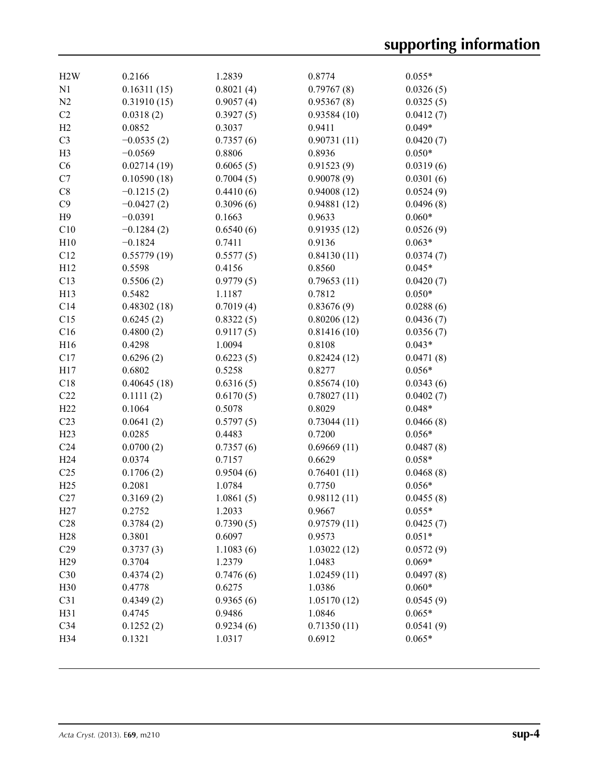| H2W             | 0.2166       | 1.2839    | 0.8774      | $0.055*$  |
|-----------------|--------------|-----------|-------------|-----------|
| N1              | 0.16311(15)  | 0.8021(4) | 0.79767(8)  | 0.0326(5) |
| N2              | 0.31910(15)  | 0.9057(4) | 0.95367(8)  | 0.0325(5) |
| C2              | 0.0318(2)    | 0.3927(5) | 0.93584(10) | 0.0412(7) |
| H2              | 0.0852       | 0.3037    | 0.9411      | $0.049*$  |
| C <sub>3</sub>  | $-0.0535(2)$ | 0.7357(6) | 0.90731(11) | 0.0420(7) |
| H <sub>3</sub>  | $-0.0569$    | 0.8806    | 0.8936      | $0.050*$  |
| C6              | 0.02714(19)  | 0.6065(5) | 0.91523(9)  | 0.0319(6) |
| C7              | 0.10590(18)  | 0.7004(5) | 0.90078(9)  | 0.0301(6) |
| C8              | $-0.1215(2)$ | 0.4410(6) | 0.94008(12) | 0.0524(9) |
| C9              | $-0.0427(2)$ | 0.3096(6) | 0.94881(12) | 0.0496(8) |
| H9              | $-0.0391$    | 0.1663    | 0.9633      | $0.060*$  |
| C10             | $-0.1284(2)$ | 0.6540(6) | 0.91935(12) | 0.0526(9) |
| H10             | $-0.1824$    | 0.7411    | 0.9136      | $0.063*$  |
| C12             | 0.55779(19)  | 0.5577(5) | 0.84130(11) | 0.0374(7) |
| H12             | 0.5598       | 0.4156    | 0.8560      | $0.045*$  |
| C13             | 0.5506(2)    | 0.9779(5) | 0.79653(11) | 0.0420(7) |
| H13             | 0.5482       | 1.1187    | 0.7812      | $0.050*$  |
| C14             | 0.48302(18)  | 0.7019(4) | 0.83676(9)  | 0.0288(6) |
| C15             | 0.6245(2)    | 0.8322(5) | 0.80206(12) | 0.0436(7) |
| C16             | 0.4800(2)    | 0.9117(5) | 0.81416(10) | 0.0356(7) |
| H16             | 0.4298       | 1.0094    | 0.8108      | $0.043*$  |
| C17             | 0.6296(2)    | 0.6223(5) | 0.82424(12) | 0.0471(8) |
| H17             | 0.6802       | 0.5258    | 0.8277      | $0.056*$  |
| C18             | 0.40645(18)  | 0.6316(5) | 0.85674(10) | 0.0343(6) |
| C22             | 0.1111(2)    | 0.6170(5) | 0.78027(11) | 0.0402(7) |
| H22             | 0.1064       | 0.5078    | 0.8029      | $0.048*$  |
| C23             | 0.0641(2)    | 0.5797(5) | 0.73044(11) | 0.0466(8) |
| H23             | 0.0285       | 0.4483    | 0.7200      | $0.056*$  |
| C <sub>24</sub> | 0.0700(2)    | 0.7357(6) | 0.69669(11) | 0.0487(8) |
| H <sub>24</sub> | 0.0374       | 0.7157    | 0.6629      | $0.058*$  |
| C <sub>25</sub> | 0.1706(2)    | 0.9504(6) | 0.76401(11) | 0.0468(8) |
| H25             | 0.2081       | 1.0784    | 0.7750      | $0.056*$  |
| C27             | 0.3169(2)    | 1.0861(5) | 0.98112(11) | 0.0455(8) |
| H27             | 0.2752       | 1.2033    | 0.9667      | $0.055*$  |
| C28             | 0.3784(2)    | 0.7390(5) | 0.97579(11) | 0.0425(7) |
| H28             | 0.3801       | 0.6097    | 0.9573      | $0.051*$  |
| C29             | 0.3737(3)    | 1.1083(6) | 1.03022(12) | 0.0572(9) |
| H <sub>29</sub> | 0.3704       | 1.2379    | 1.0483      | $0.069*$  |
| C30             | 0.4374(2)    | 0.7476(6) | 1.02459(11) | 0.0497(8) |
| H30             | 0.4778       | 0.6275    | 1.0386      | $0.060*$  |
| C31             | 0.4349(2)    | 0.9365(6) | 1.05170(12) | 0.0545(9) |
| H31             | 0.4745       | 0.9486    | 1.0846      | $0.065*$  |
| C34             | 0.1252(2)    | 0.9234(6) | 0.71350(11) | 0.0541(9) |
| H34             | 0.1321       | 1.0317    | 0.6912      | $0.065*$  |
|                 |              |           |             |           |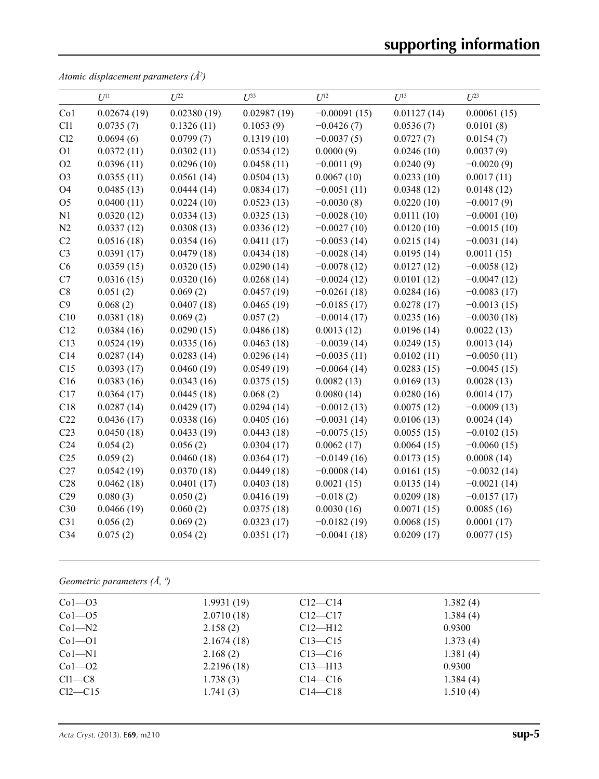*Atomic displacement parameters (Å2 )*

|                 | $U^{11}$    | $U^{22}$    | $U^{33}$    | $U^{12}$       | $U^{13}$    | $U^{23}$      |
|-----------------|-------------|-------------|-------------|----------------|-------------|---------------|
| Co1             | 0.02674(19) | 0.02380(19) | 0.02987(19) | $-0.00091(15)$ | 0.01127(14) | 0.00061(15)   |
| C11             | 0.0735(7)   | 0.1326(11)  | 0.1053(9)   | $-0.0426(7)$   | 0.0536(7)   | 0.0101(8)     |
| Cl2             | 0.0694(6)   | 0.0799(7)   | 0.1319(10)  | $-0.0037(5)$   | 0.0727(7)   | 0.0154(7)     |
| O <sub>1</sub>  | 0.0372(11)  | 0.0302(11)  | 0.0534(12)  | 0.0000(9)      | 0.0246(10)  | 0.0037(9)     |
| O2              | 0.0396(11)  | 0.0296(10)  | 0.0458(11)  | $-0.0011(9)$   | 0.0240(9)   | $-0.0020(9)$  |
| O <sub>3</sub>  | 0.0355(11)  | 0.0561(14)  | 0.0504(13)  | 0.0067(10)     | 0.0233(10)  | 0.0017(11)    |
| <b>O4</b>       | 0.0485(13)  | 0.0444(14)  | 0.0834(17)  | $-0.0051(11)$  | 0.0348(12)  | 0.0148(12)    |
| O <sub>5</sub>  | 0.0400(11)  | 0.0224(10)  | 0.0523(13)  | $-0.0030(8)$   | 0.0220(10)  | $-0.0017(9)$  |
| N1              | 0.0320(12)  | 0.0334(13)  | 0.0325(13)  | $-0.0028(10)$  | 0.0111(10)  | $-0.0001(10)$ |
| N2              | 0.0337(12)  | 0.0308(13)  | 0.0336(12)  | $-0.0027(10)$  | 0.0120(10)  | $-0.0015(10)$ |
| C2              | 0.0516(18)  | 0.0354(16)  | 0.0411(17)  | $-0.0053(14)$  | 0.0215(14)  | $-0.0031(14)$ |
| C <sub>3</sub>  | 0.0391(17)  | 0.0479(18)  | 0.0434(18)  | $-0.0028(14)$  | 0.0195(14)  | 0.0011(15)    |
| C6              | 0.0359(15)  | 0.0320(15)  | 0.0290(14)  | $-0.0078(12)$  | 0.0127(12)  | $-0.0058(12)$ |
| C7              | 0.0316(15)  | 0.0320(16)  | 0.0268(14)  | $-0.0024(12)$  | 0.0101(12)  | $-0.0047(12)$ |
| C8              | 0.051(2)    | 0.069(2)    | 0.0457(19)  | $-0.0261(18)$  | 0.0284(16)  | $-0.0083(17)$ |
| C9              | 0.068(2)    | 0.0407(18)  | 0.0465(19)  | $-0.0185(17)$  | 0.0278(17)  | $-0.0013(15)$ |
| C10             | 0.0381(18)  | 0.069(2)    | 0.057(2)    | $-0.0014(17)$  | 0.0235(16)  | $-0.0030(18)$ |
| C12             | 0.0384(16)  | 0.0290(15)  | 0.0486(18)  | 0.0013(12)     | 0.0196(14)  | 0.0022(13)    |
| C13             | 0.0524(19)  | 0.0335(16)  | 0.0463(18)  | $-0.0039(14)$  | 0.0249(15)  | 0.0013(14)    |
| C14             | 0.0287(14)  | 0.0283(14)  | 0.0296(14)  | $-0.0035(11)$  | 0.0102(11)  | $-0.0050(11)$ |
| C15             | 0.0393(17)  | 0.0460(19)  | 0.0549(19)  | $-0.0064(14)$  | 0.0283(15)  | $-0.0045(15)$ |
| C16             | 0.0383(16)  | 0.0343(16)  | 0.0375(15)  | 0.0082(13)     | 0.0169(13)  | 0.0028(13)    |
| C17             | 0.0364(17)  | 0.0445(18)  | 0.068(2)    | 0.0080(14)     | 0.0280(16)  | 0.0014(17)    |
| C18             | 0.0287(14)  | 0.0429(17)  | 0.0294(14)  | $-0.0012(13)$  | 0.0075(12)  | $-0.0009(13)$ |
| C22             | 0.0436(17)  | 0.0338(16)  | 0.0405(16)  | $-0.0031(14)$  | 0.0106(13)  | 0.0024(14)    |
| C <sub>23</sub> | 0.0450(18)  | 0.0433(19)  | 0.0443(18)  | $-0.0075(15)$  | 0.0055(15)  | $-0.0102(15)$ |
| C <sub>24</sub> | 0.054(2)    | 0.056(2)    | 0.0304(17)  | 0.0062(17)     | 0.0064(15)  | $-0.0060(15)$ |
| C <sub>25</sub> | 0.059(2)    | 0.0460(18)  | 0.0364(17)  | $-0.0149(16)$  | 0.0173(15)  | 0.0008(14)    |
| C27             | 0.0542(19)  | 0.0370(18)  | 0.0449(18)  | $-0.0008(14)$  | 0.0161(15)  | $-0.0032(14)$ |
| C28             | 0.0462(18)  | 0.0401(17)  | 0.0403(18)  | 0.0021(15)     | 0.0135(14)  | $-0.0021(14)$ |
| C29             | 0.080(3)    | 0.050(2)    | 0.0416(19)  | $-0.018(2)$    | 0.0209(18)  | $-0.0157(17)$ |
| C30             | 0.0466(19)  | 0.060(2)    | 0.0375(18)  | 0.0030(16)     | 0.0071(15)  | 0.0085(16)    |
| C31             | 0.056(2)    | 0.069(2)    | 0.0323(17)  | $-0.0182(19)$  | 0.0068(15)  | 0.0001(17)    |
| C34             | 0.075(2)    | 0.054(2)    | 0.0351(17)  | $-0.0041(18)$  | 0.0209(17)  | 0.0077(15)    |

*Geometric parameters (Å, º)*

| $Co1-O3$   | 1.9931(19) | $C12 - C14$ | 1.382(4) |  |
|------------|------------|-------------|----------|--|
| $Co1 - O5$ | 2.0710(18) | $C12 - C17$ | 1.384(4) |  |
| $Co1 - N2$ | 2.158(2)   | $Cl2-H12$   | 0.9300   |  |
| $Co1 - O1$ | 2.1674(18) | $C13 - C15$ | 1.373(4) |  |
| $Co1-M1$   | 2.168(2)   | $C13 - C16$ | 1.381(4) |  |
| $Co1 - O2$ | 2.2196(18) | $C13 - H13$ | 0.9300   |  |
| $Cl1-C8$   | 1.738(3)   | $C14 - C16$ | 1.384(4) |  |
| $Cl2-C15$  | 1.741(3)   | $C14-C18$   | 1.510(4) |  |
|            |            |             |          |  |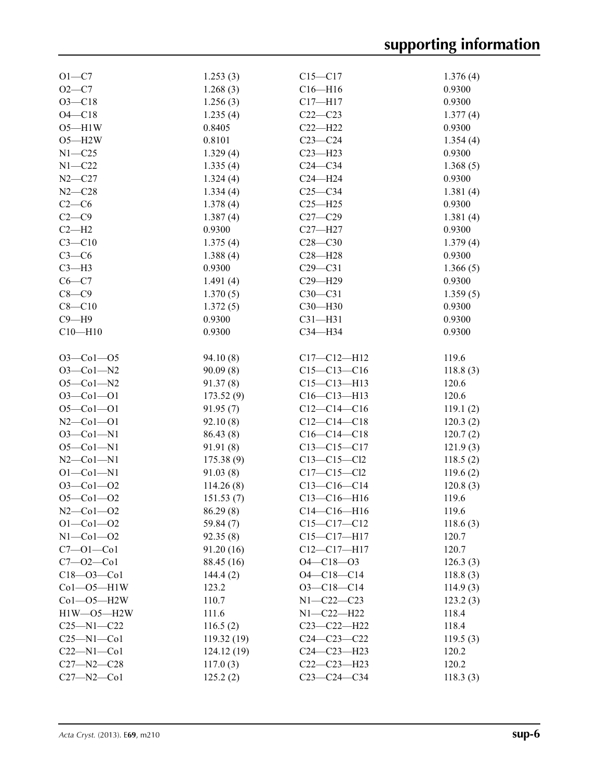| $O1 - C7$           | 1.253(3)   | $C15 - C17$       | 1.376(4) |
|---------------------|------------|-------------------|----------|
| $O2 - C7$           | 1.268(3)   | $C16 - H16$       | 0.9300   |
| $O3 - C18$          | 1.256(3)   | $C17 - H17$       | 0.9300   |
| $O4 - C18$          | 1.235(4)   | $C22-C23$         | 1.377(4) |
| $O5 - H1W$          | 0.8405     | $C22-H22$         | 0.9300   |
| $O5 - H2W$          | 0.8101     | $C23-C24$         | 1.354(4) |
| $N1 - C25$          | 1.329(4)   | $C23 - H23$       | 0.9300   |
|                     |            |                   |          |
| $N1 - C22$          | 1.335(4)   | $C24-C34$         | 1.368(5) |
| $N2 - C27$          | 1.324(4)   | $C24 - H24$       | 0.9300   |
| $N2 - C28$          | 1.334(4)   | $C25-C34$         | 1.381(4) |
| $C2-C6$             | 1.378(4)   | $C25 - H25$       | 0.9300   |
| $C2-C9$             | 1.387(4)   | $C27 - C29$       | 1.381(4) |
| $C2-H2$             | 0.9300     | $C27 - H27$       | 0.9300   |
| $C3 - C10$          | 1.375(4)   | $C28 - C30$       | 1.379(4) |
| $C3-C6$             | 1.388(4)   | $C28 - H28$       | 0.9300   |
| $C3-H3$             | 0.9300     | $C29 - C31$       | 1.366(5) |
| $C6-C7$             | 1.491(4)   | $C29 - H29$       | 0.9300   |
| $C8-C9$             | 1.370(5)   | $C30 - C31$       | 1.359(5) |
| $C8 - C10$          |            | $C30 - H30$       | 0.9300   |
|                     | 1.372(5)   |                   |          |
| $C9 - H9$           | 0.9300     | $C31 - H31$       | 0.9300   |
| $C10 - H10$         | 0.9300     | C34-H34           | 0.9300   |
|                     |            |                   |          |
| $O3 - Co1 - O5$     | 94.10(8)   | $C17 - C12 - H12$ | 119.6    |
| $O3 - Co1 - N2$     | 90.09(8)   | $C15-C13-C16$     | 118.8(3) |
| $O5 - CO1 - N2$     | 91.37(8)   | $C15 - C13 - H13$ | 120.6    |
| $O3 - Co1 - O1$     | 173.52(9)  | $C16 - C13 - H13$ | 120.6    |
| $O5 - Co1 - O1$     | 91.95(7)   | $C12-C14-C16$     | 119.1(2) |
| $N2$ –Co $1$ –O1    | 92.10(8)   | $C12-C14-C18$     | 120.3(2) |
| $O3 - Co1 - N1$     | 86.43 (8)  | $C16-C14-C18$     | 120.7(2) |
| $O5 - CO1 - N1$     | 91.91 (8)  | $C13 - C15 - C17$ | 121.9(3) |
| $N2$ –Co $1$ –N $1$ | 175.38(9)  | $C13 - C15 - C12$ | 118.5(2) |
| $O1 - Co1 - N1$     | 91.03(8)   | $C17 - C15 - C12$ | 119.6(2) |
| $O3 - Co1 - O2$     | 114.26(8)  | $C13-C16-C14$     |          |
|                     |            |                   | 120.8(3) |
| $O5 - Co1 - O2$     | 151.53(7)  | $C13 - C16 - H16$ | 119.6    |
| $N2 - Co1 - O2$     | 86.29(8)   | $C14-C16-H16$     | 119.6    |
| $O1 - Co1 - O2$     | 59.84(7)   | $C15 - C17 - C12$ | 118.6(3) |
| $N1-Co1-O2$         | 92.35(8)   | $C15 - C17 - H17$ | 120.7    |
| $C7 - 01 - C01$     | 91.20 (16) | $C12-C17-H17$     | 120.7    |
| $C7 - 02 - C01$     | 88.45 (16) | $O4 - C18 - O3$   | 126.3(3) |
| $C18 - 03 - C01$    | 144.4(2)   | $O4 - C18 - C14$  | 118.8(3) |
| $Co1 - O5 - H1W$    | 123.2      | $O3-C18-C14$      | 114.9(3) |
| $Co1 - O5 - H2W$    | 110.7      | $N1 - C22 - C23$  | 123.2(3) |
| $H1W - O5 - H2W$    | 111.6      | $N1 - C22 - H22$  | 118.4    |
| $C25 - N1 - C22$    | 116.5(2)   | $C23 - C22 - H22$ | 118.4    |
| $C25 - N1 - Co1$    | 119.32(19) | $C24 - C23 - C22$ | 119.5(3) |
|                     |            |                   |          |
| $C22 - N1 - Co1$    | 124.12(19) | $C24 - C23 - H23$ | 120.2    |
| $C27 - N2 - C28$    | 117.0(3)   | $C22-C23-H23$     | 120.2    |
| $C27 - N2 - C01$    | 125.2(2)   | $C23-C24-C34$     | 118.3(3) |